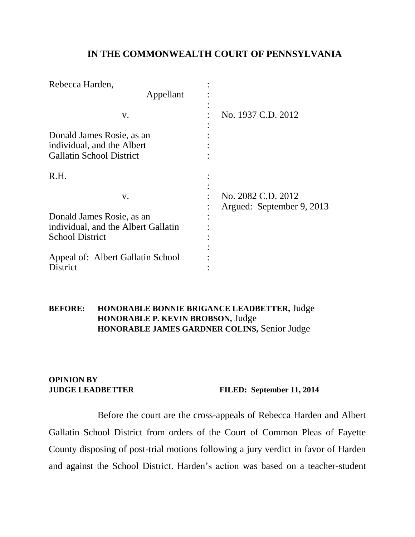### **IN THE COMMONWEALTH COURT OF PENNSYLVANIA**

| Rebecca Harden,                                                                            |                                                 |
|--------------------------------------------------------------------------------------------|-------------------------------------------------|
| Appellant                                                                                  |                                                 |
| V.                                                                                         | No. 1937 C.D. 2012                              |
| Donald James Rosie, as an<br>individual, and the Albert<br><b>Gallatin School District</b> |                                                 |
| R.H.                                                                                       |                                                 |
| V.                                                                                         | No. 2082 C.D. 2012<br>Argued: September 9, 2013 |
| Donald James Rosie, as an                                                                  |                                                 |
| individual, and the Albert Gallatin<br><b>School District</b>                              |                                                 |
| Appeal of: Albert Gallatin School<br>District                                              |                                                 |

#### **BEFORE: HONORABLE BONNIE BRIGANCE LEADBETTER,** Judge **HONORABLE P. KEVIN BROBSON,** Judge **HONORABLE JAMES GARDNER COLINS,** Senior Judge

# **OPINION BY**

**JUDGE LEADBETTER FILED: September 11, 2014**

Before the court are the cross-appeals of Rebecca Harden and Albert Gallatin School District from orders of the Court of Common Pleas of Fayette County disposing of post-trial motions following a jury verdict in favor of Harden and against the School District. Harden's action was based on a teacher-student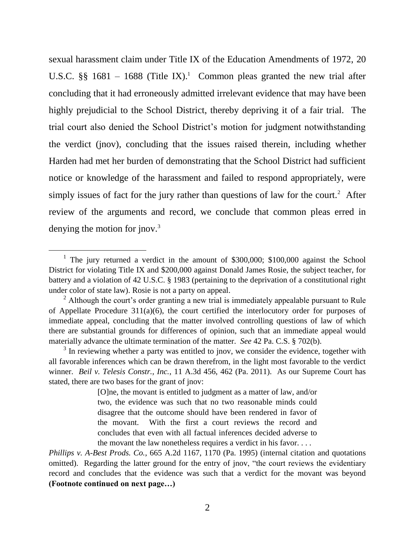sexual harassment claim under Title IX of the Education Amendments of 1972, 20 U.S.C. §§ 1681 – 1688 (Title IX).<sup>1</sup> Common pleas granted the new trial after concluding that it had erroneously admitted irrelevant evidence that may have been highly prejudicial to the School District, thereby depriving it of a fair trial. The trial court also denied the School District's motion for judgment notwithstanding the verdict (jnov), concluding that the issues raised therein, including whether Harden had met her burden of demonstrating that the School District had sufficient notice or knowledge of the harassment and failed to respond appropriately, were simply issues of fact for the jury rather than questions of law for the court.<sup>2</sup> After review of the arguments and record, we conclude that common pleas erred in denying the motion for jnov. $3$ 

<sup>&</sup>lt;sup>1</sup> The jury returned a verdict in the amount of \$300,000; \$100,000 against the School District for violating Title IX and \$200,000 against Donald James Rosie, the subject teacher, for battery and a violation of 42 U.S.C. § 1983 (pertaining to the deprivation of a constitutional right under color of state law). Rosie is not a party on appeal.

 $2$  Although the court's order granting a new trial is immediately appealable pursuant to Rule of Appellate Procedure 311(a)(6), the court certified the interlocutory order for purposes of immediate appeal, concluding that the matter involved controlling questions of law of which there are substantial grounds for differences of opinion, such that an immediate appeal would materially advance the ultimate termination of the matter. *See* 42 Pa. C.S. § 702(b).

 $3$  In reviewing whether a party was entitled to jnov, we consider the evidence, together with all favorable inferences which can be drawn therefrom, in the light most favorable to the verdict winner. *Beil v. Telesis Constr., Inc.*, 11 A.3d 456, 462 (Pa. 2011). As our Supreme Court has stated, there are two bases for the grant of jnov:

<sup>[</sup>O]ne, the movant is entitled to judgment as a matter of law, and/or two, the evidence was such that no two reasonable minds could disagree that the outcome should have been rendered in favor of the movant. With the first a court reviews the record and concludes that even with all factual inferences decided adverse to the movant the law nonetheless requires a verdict in his favor. . . .

*Phillips v. A-Best Prods. Co.*, 665 A.2d 1167, 1170 (Pa. 1995) (internal citation and quotations omitted). Regarding the latter ground for the entry of jnov, "the court reviews the evidentiary record and concludes that the evidence was such that a verdict for the movant was beyond **(Footnote continued on next page…)**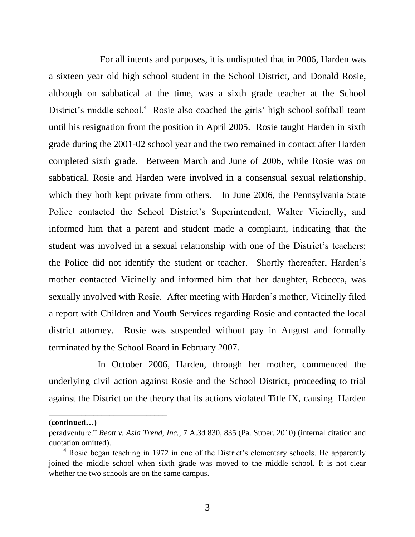For all intents and purposes, it is undisputed that in 2006, Harden was a sixteen year old high school student in the School District, and Donald Rosie, although on sabbatical at the time, was a sixth grade teacher at the School District's middle school.<sup>4</sup> Rosie also coached the girls' high school softball team until his resignation from the position in April 2005. Rosie taught Harden in sixth grade during the 2001-02 school year and the two remained in contact after Harden completed sixth grade. Between March and June of 2006, while Rosie was on sabbatical, Rosie and Harden were involved in a consensual sexual relationship, which they both kept private from others. In June 2006, the Pennsylvania State Police contacted the School District's Superintendent, Walter Vicinelly, and informed him that a parent and student made a complaint, indicating that the student was involved in a sexual relationship with one of the District's teachers; the Police did not identify the student or teacher. Shortly thereafter, Harden's mother contacted Vicinelly and informed him that her daughter, Rebecca, was sexually involved with Rosie. After meeting with Harden's mother, Vicinelly filed a report with Children and Youth Services regarding Rosie and contacted the local district attorney. Rosie was suspended without pay in August and formally terminated by the School Board in February 2007.

In October 2006, Harden, through her mother, commenced the underlying civil action against Rosie and the School District, proceeding to trial against the District on the theory that its actions violated Title IX, causing Harden

**(continued…)**

\_\_\_\_\_\_\_\_\_\_\_\_\_\_\_\_\_\_\_\_\_\_\_\_\_\_\_\_\_

peradventure." *Reott v. Asia Trend, Inc.*, 7 A.3d 830, 835 (Pa. Super. 2010) (internal citation and quotation omitted).

<sup>&</sup>lt;sup>4</sup> Rosie began teaching in 1972 in one of the District's elementary schools. He apparently joined the middle school when sixth grade was moved to the middle school. It is not clear whether the two schools are on the same campus.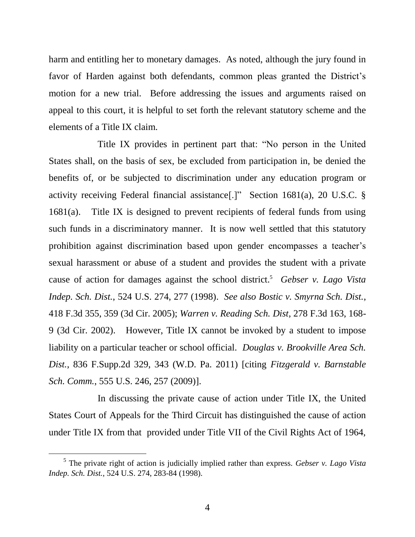harm and entitling her to monetary damages. As noted, although the jury found in favor of Harden against both defendants, common pleas granted the District's motion for a new trial. Before addressing the issues and arguments raised on appeal to this court, it is helpful to set forth the relevant statutory scheme and the elements of a Title IX claim.

Title IX provides in pertinent part that: "No person in the United States shall, on the basis of sex, be excluded from participation in, be denied the benefits of, or be subjected to discrimination under any education program or activity receiving Federal financial assistance[.]" Section 1681(a), 20 U.S.C. § 1681(a). Title IX is designed to prevent recipients of federal funds from using such funds in a discriminatory manner. It is now well settled that this statutory prohibition against discrimination based upon gender encompasses a teacher's sexual harassment or abuse of a student and provides the student with a private cause of action for damages against the school district.<sup>5</sup> *Gebser v. Lago Vista Indep. Sch. Dist.*, 524 U.S. 274, 277 (1998). *See also Bostic v. Smyrna Sch. Dist.*, 418 F.3d 355, 359 (3d Cir. 2005); *Warren v. Reading Sch. Dist*, 278 F.3d 163, 168- 9 (3d Cir. 2002). However, Title IX cannot be invoked by a student to impose liability on a particular teacher or school official. *Douglas v. Brookville Area Sch. Dist.*, 836 F.Supp.2d 329, 343 (W.D. Pa. 2011) [citing *Fitzgerald v. Barnstable Sch. Comm.*, 555 U.S. 246, 257 (2009)].

In discussing the private cause of action under Title IX, the United States Court of Appeals for the Third Circuit has distinguished the cause of action under Title IX from that provided under Title VII of the Civil Rights Act of 1964,

<sup>5</sup> The private right of action is judicially implied rather than express. *Gebser v. Lago Vista Indep. Sch. Dist.*, 524 U.S. 274, 283-84 (1998).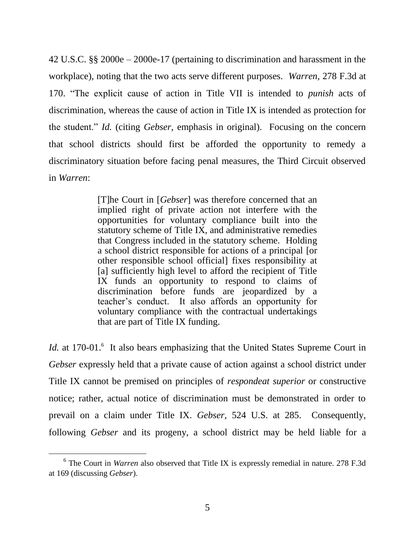42 U.S.C. §§ 2000e – 2000e-17 (pertaining to discrimination and harassment in the workplace), noting that the two acts serve different purposes. *Warren*, 278 F.3d at 170. "The explicit cause of action in Title VII is intended to *punish* acts of discrimination, whereas the cause of action in Title IX is intended as protection for the student." *Id.* (citing *Gebser*, emphasis in original). Focusing on the concern that school districts should first be afforded the opportunity to remedy a discriminatory situation before facing penal measures, the Third Circuit observed in *Warren*:

> [T]he Court in [*Gebser*] was therefore concerned that an implied right of private action not interfere with the opportunities for voluntary compliance built into the statutory scheme of Title IX, and administrative remedies that Congress included in the statutory scheme. Holding a school district responsible for actions of a principal [or other responsible school official] fixes responsibility at [a] sufficiently high level to afford the recipient of Title IX funds an opportunity to respond to claims of discrimination before funds are jeopardized by a teacher's conduct. It also affords an opportunity for voluntary compliance with the contractual undertakings that are part of Title IX funding.

*Id.* at 170-01.<sup>6</sup> It also bears emphasizing that the United States Supreme Court in *Gebser* expressly held that a private cause of action against a school district under Title IX cannot be premised on principles of *respondeat superior* or constructive notice; rather, actual notice of discrimination must be demonstrated in order to prevail on a claim under Title IX. *Gebser*, 524 U.S. at 285. Consequently, following *Gebser* and its progeny, a school district may be held liable for a

<sup>&</sup>lt;sup>6</sup> The Court in *Warren* also observed that Title IX is expressly remedial in nature. 278 F.3d at 169 (discussing *Gebser*).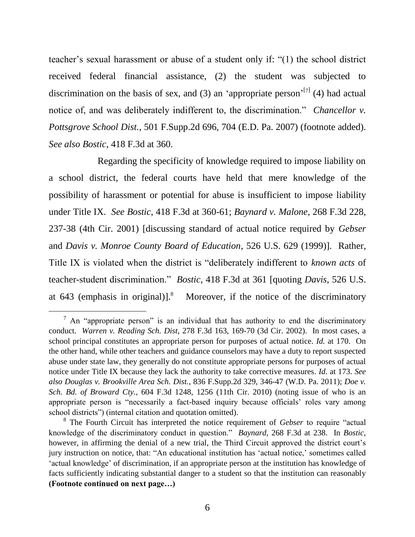teacher's sexual harassment or abuse of a student only if: "(1) the school district received federal financial assistance, (2) the student was subjected to discrimination on the basis of sex, and (3) an 'appropriate person'<sup>[7]</sup> (4) had actual notice of, and was deliberately indifferent to, the discrimination." *Chancellor v. Pottsgrove School Dist.*, 501 F.Supp.2d 696, 704 (E.D. Pa. 2007) (footnote added). *See also Bostic*, 418 F.3d at 360.

Regarding the specificity of knowledge required to impose liability on a school district, the federal courts have held that mere knowledge of the possibility of harassment or potential for abuse is insufficient to impose liability under Title IX. *See Bostic*, 418 F.3d at 360-61; *Baynard v. Malone*, 268 F.3d 228, 237-38 (4th Cir. 2001) [discussing standard of actual notice required by *Gebser*  and *Davis v. Monroe County Board of Education*, 526 U.S. 629 (1999)]. Rather, Title IX is violated when the district is "deliberately indifferent to *known acts* of teacher-student discrimination." *Bostic*, 418 F.3d at 361 [quoting *Davis*, 526 U.S. at 643 (emphasis in original)]. <sup>8</sup> Moreover, if the notice of the discriminatory

 $\frac{7}{1}$  An "appropriate person" is an individual that has authority to end the discriminatory conduct. *Warren v. Reading Sch. Dist*, 278 F.3d 163, 169-70 (3d Cir. 2002). In most cases, a school principal constitutes an appropriate person for purposes of actual notice. *Id.* at 170. On the other hand, while other teachers and guidance counselors may have a duty to report suspected abuse under state law, they generally do not constitute appropriate persons for purposes of actual notice under Title IX because they lack the authority to take corrective measures. *Id.* at 173. *See also Douglas v. Brookville Area Sch. Dist.*, 836 F.Supp.2d 329, 346-47 (W.D. Pa. 2011); *Doe v. Sch. Bd. of Broward Cty.*, 604 F.3d 1248, 1256 (11th Cir. 2010) (noting issue of who is an appropriate person is "necessarily a fact-based inquiry because officials' roles vary among school districts") (internal citation and quotation omitted).

<sup>8</sup> The Fourth Circuit has interpreted the notice requirement of *Gebser* to require "actual knowledge of the discriminatory conduct in question." *Baynard*, 268 F.3d at 238. In *Bostic*, however, in affirming the denial of a new trial, the Third Circuit approved the district court's jury instruction on notice, that: "An educational institution has 'actual notice,' sometimes called 'actual knowledge' of discrimination, if an appropriate person at the institution has knowledge of facts sufficiently indicating substantial danger to a student so that the institution can reasonably **(Footnote continued on next page…)**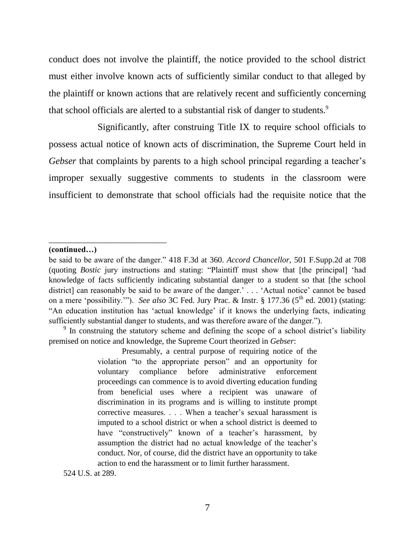conduct does not involve the plaintiff, the notice provided to the school district must either involve known acts of sufficiently similar conduct to that alleged by the plaintiff or known actions that are relatively recent and sufficiently concerning that school officials are alerted to a substantial risk of danger to students.<sup>9</sup>

Significantly, after construing Title IX to require school officials to possess actual notice of known acts of discrimination, the Supreme Court held in *Gebser* that complaints by parents to a high school principal regarding a teacher's improper sexually suggestive comments to students in the classroom were insufficient to demonstrate that school officials had the requisite notice that the

#### **(continued…)**

\_\_\_\_\_\_\_\_\_\_\_\_\_\_\_\_\_\_\_\_\_\_\_\_\_\_\_\_\_

 $9$  In construing the statutory scheme and defining the scope of a school district's liability premised on notice and knowledge, the Supreme Court theorized in *Gebser*:

> Presumably, a central purpose of requiring notice of the violation "to the appropriate person" and an opportunity for voluntary compliance before administrative enforcement proceedings can commence is to avoid diverting education funding from beneficial uses where a recipient was unaware of discrimination in its programs and is willing to institute prompt corrective measures. . . . When a teacher's sexual harassment is imputed to a school district or when a school district is deemed to have "constructively" known of a teacher's harassment, by assumption the district had no actual knowledge of the teacher's conduct. Nor, of course, did the district have an opportunity to take action to end the harassment or to limit further harassment.

524 U.S. at 289.

be said to be aware of the danger." 418 F.3d at 360. *Accord Chancellor*, 501 F.Supp.2d at 708 (quoting *Bostic* jury instructions and stating: "Plaintiff must show that [the principal] 'had knowledge of facts sufficiently indicating substantial danger to a student so that [the school district] can reasonably be said to be aware of the danger.' . . . 'Actual notice' cannot be based on a mere 'possibility.'"). *See also* 3C Fed. Jury Prac. & Instr. § 177.36 (5<sup>th</sup> ed. 2001) (stating: "An education institution has 'actual knowledge' if it knows the underlying facts, indicating sufficiently substantial danger to students, and was therefore aware of the danger.").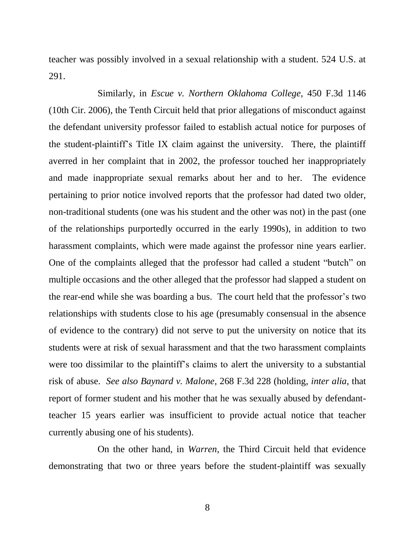teacher was possibly involved in a sexual relationship with a student. 524 U.S. at 291.

Similarly, in *Escue v. Northern Oklahoma College,* 450 F.3d 1146 (10th Cir. 2006), the Tenth Circuit held that prior allegations of misconduct against the defendant university professor failed to establish actual notice for purposes of the student-plaintiff's Title IX claim against the university. There, the plaintiff averred in her complaint that in 2002, the professor touched her inappropriately and made inappropriate sexual remarks about her and to her. The evidence pertaining to prior notice involved reports that the professor had dated two older, non-traditional students (one was his student and the other was not) in the past (one of the relationships purportedly occurred in the early 1990s), in addition to two harassment complaints, which were made against the professor nine years earlier. One of the complaints alleged that the professor had called a student "butch" on multiple occasions and the other alleged that the professor had slapped a student on the rear-end while she was boarding a bus. The court held that the professor's two relationships with students close to his age (presumably consensual in the absence of evidence to the contrary) did not serve to put the university on notice that its students were at risk of sexual harassment and that the two harassment complaints were too dissimilar to the plaintiff's claims to alert the university to a substantial risk of abuse. *See also Baynard v. Malone*, 268 F.3d 228 (holding, *inter alia*, that report of former student and his mother that he was sexually abused by defendantteacher 15 years earlier was insufficient to provide actual notice that teacher currently abusing one of his students).

On the other hand, in *Warren*, the Third Circuit held that evidence demonstrating that two or three years before the student-plaintiff was sexually

8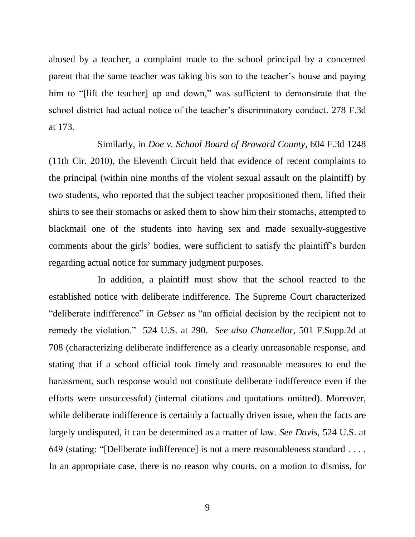abused by a teacher, a complaint made to the school principal by a concerned parent that the same teacher was taking his son to the teacher's house and paying him to "[lift the teacher] up and down," was sufficient to demonstrate that the school district had actual notice of the teacher's discriminatory conduct. 278 F.3d at 173.

Similarly, in *Doe v. School Board of Broward County*, 604 F.3d 1248 (11th Cir. 2010), the Eleventh Circuit held that evidence of recent complaints to the principal (within nine months of the violent sexual assault on the plaintiff) by two students, who reported that the subject teacher propositioned them, lifted their shirts to see their stomachs or asked them to show him their stomachs, attempted to blackmail one of the students into having sex and made sexually-suggestive comments about the girls' bodies, were sufficient to satisfy the plaintiff's burden regarding actual notice for summary judgment purposes.

In addition, a plaintiff must show that the school reacted to the established notice with deliberate indifference. The Supreme Court characterized "deliberate indifference" in *Gebser* as "an official decision by the recipient not to remedy the violation." 524 U.S. at 290. *See also Chancellor*, 501 F.Supp.2d at 708 (characterizing deliberate indifference as a clearly unreasonable response, and stating that if a school official took timely and reasonable measures to end the harassment, such response would not constitute deliberate indifference even if the efforts were unsuccessful) (internal citations and quotations omitted). Moreover, while deliberate indifference is certainly a factually driven issue, when the facts are largely undisputed, it can be determined as a matter of law. *See Davis*, 524 U.S. at 649 (stating: "[Deliberate indifference] is not a mere reasonableness standard . . . . In an appropriate case, there is no reason why courts, on a motion to dismiss, for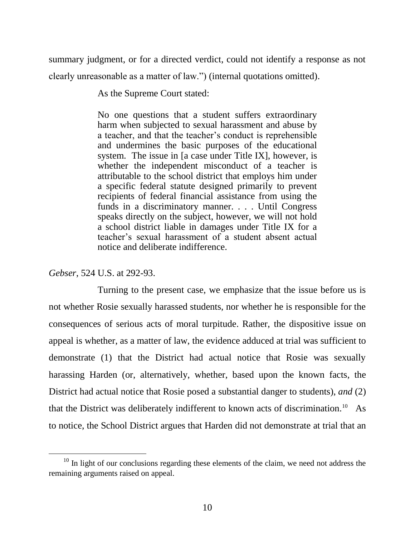summary judgment, or for a directed verdict, could not identify a response as not clearly unreasonable as a matter of law.") (internal quotations omitted).

As the Supreme Court stated:

No one questions that a student suffers extraordinary harm when subjected to sexual harassment and abuse by a teacher, and that the teacher's conduct is reprehensible and undermines the basic purposes of the educational system. The issue in [a case under Title IX], however, is whether the independent misconduct of a teacher is attributable to the school district that employs him under a specific federal statute designed primarily to prevent recipients of federal financial assistance from using the funds in a discriminatory manner. . . . Until Congress speaks directly on the subject, however, we will not hold a school district liable in damages under Title IX for a teacher's sexual harassment of a student absent actual notice and deliberate indifference.

*Gebser*, 524 U.S. at 292-93.

 $\overline{a}$ 

Turning to the present case, we emphasize that the issue before us is not whether Rosie sexually harassed students, nor whether he is responsible for the consequences of serious acts of moral turpitude. Rather, the dispositive issue on appeal is whether, as a matter of law, the evidence adduced at trial was sufficient to demonstrate (1) that the District had actual notice that Rosie was sexually harassing Harden (or, alternatively, whether, based upon the known facts, the District had actual notice that Rosie posed a substantial danger to students), *and* (2) that the District was deliberately indifferent to known acts of discrimination.<sup>10</sup> As to notice, the School District argues that Harden did not demonstrate at trial that an

 $10$  In light of our conclusions regarding these elements of the claim, we need not address the remaining arguments raised on appeal.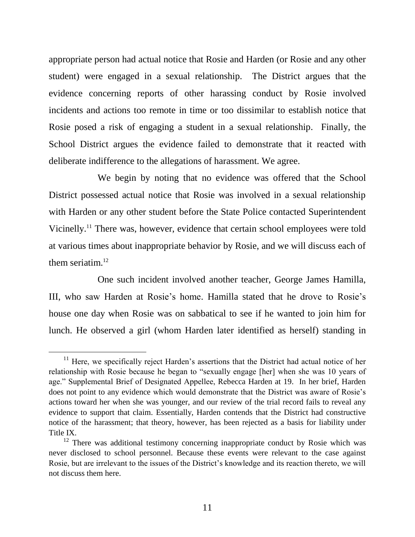appropriate person had actual notice that Rosie and Harden (or Rosie and any other student) were engaged in a sexual relationship. The District argues that the evidence concerning reports of other harassing conduct by Rosie involved incidents and actions too remote in time or too dissimilar to establish notice that Rosie posed a risk of engaging a student in a sexual relationship. Finally, the School District argues the evidence failed to demonstrate that it reacted with deliberate indifference to the allegations of harassment. We agree.

We begin by noting that no evidence was offered that the School District possessed actual notice that Rosie was involved in a sexual relationship with Harden or any other student before the State Police contacted Superintendent Vicinelly.<sup>11</sup> There was, however, evidence that certain school employees were told at various times about inappropriate behavior by Rosie, and we will discuss each of them seriatim. $^{12}$ 

One such incident involved another teacher, George James Hamilla, III, who saw Harden at Rosie's home. Hamilla stated that he drove to Rosie's house one day when Rosie was on sabbatical to see if he wanted to join him for lunch. He observed a girl (whom Harden later identified as herself) standing in

 $11$  Here, we specifically reject Harden's assertions that the District had actual notice of her relationship with Rosie because he began to "sexually engage [her] when she was 10 years of age." Supplemental Brief of Designated Appellee, Rebecca Harden at 19. In her brief, Harden does not point to any evidence which would demonstrate that the District was aware of Rosie's actions toward her when she was younger, and our review of the trial record fails to reveal any evidence to support that claim. Essentially, Harden contends that the District had constructive notice of the harassment; that theory, however, has been rejected as a basis for liability under Title IX.

<sup>&</sup>lt;sup>12</sup> There was additional testimony concerning inappropriate conduct by Rosie which was never disclosed to school personnel. Because these events were relevant to the case against Rosie, but are irrelevant to the issues of the District's knowledge and its reaction thereto, we will not discuss them here.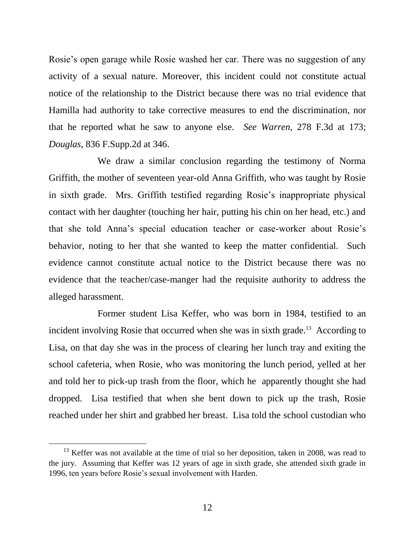Rosie's open garage while Rosie washed her car. There was no suggestion of any activity of a sexual nature. Moreover, this incident could not constitute actual notice of the relationship to the District because there was no trial evidence that Hamilla had authority to take corrective measures to end the discrimination, nor that he reported what he saw to anyone else. *See Warren*, 278 F.3d at 173; *Douglas*, 836 F.Supp.2d at 346.

We draw a similar conclusion regarding the testimony of Norma Griffith, the mother of seventeen year-old Anna Griffith, who was taught by Rosie in sixth grade. Mrs. Griffith testified regarding Rosie's inappropriate physical contact with her daughter (touching her hair, putting his chin on her head, etc.) and that she told Anna's special education teacher or case-worker about Rosie's behavior, noting to her that she wanted to keep the matter confidential. Such evidence cannot constitute actual notice to the District because there was no evidence that the teacher/case-manger had the requisite authority to address the alleged harassment.

Former student Lisa Keffer, who was born in 1984, testified to an incident involving Rosie that occurred when she was in sixth grade.<sup>13</sup> According to Lisa, on that day she was in the process of clearing her lunch tray and exiting the school cafeteria, when Rosie, who was monitoring the lunch period, yelled at her and told her to pick-up trash from the floor, which he apparently thought she had dropped. Lisa testified that when she bent down to pick up the trash, Rosie reached under her shirt and grabbed her breast. Lisa told the school custodian who

 $13$  Keffer was not available at the time of trial so her deposition, taken in 2008, was read to the jury. Assuming that Keffer was 12 years of age in sixth grade, she attended sixth grade in 1996, ten years before Rosie's sexual involvement with Harden.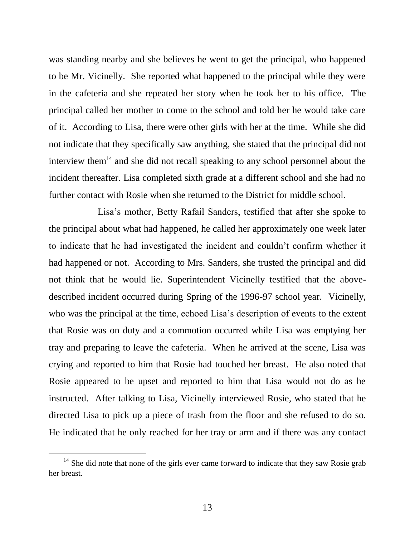was standing nearby and she believes he went to get the principal, who happened to be Mr. Vicinelly. She reported what happened to the principal while they were in the cafeteria and she repeated her story when he took her to his office. The principal called her mother to come to the school and told her he would take care of it. According to Lisa, there were other girls with her at the time. While she did not indicate that they specifically saw anything, she stated that the principal did not interview them<sup>14</sup> and she did not recall speaking to any school personnel about the incident thereafter. Lisa completed sixth grade at a different school and she had no further contact with Rosie when she returned to the District for middle school.

Lisa's mother, Betty Rafail Sanders, testified that after she spoke to the principal about what had happened, he called her approximately one week later to indicate that he had investigated the incident and couldn't confirm whether it had happened or not. According to Mrs. Sanders, she trusted the principal and did not think that he would lie. Superintendent Vicinelly testified that the abovedescribed incident occurred during Spring of the 1996-97 school year. Vicinelly, who was the principal at the time, echoed Lisa's description of events to the extent that Rosie was on duty and a commotion occurred while Lisa was emptying her tray and preparing to leave the cafeteria. When he arrived at the scene, Lisa was crying and reported to him that Rosie had touched her breast. He also noted that Rosie appeared to be upset and reported to him that Lisa would not do as he instructed. After talking to Lisa, Vicinelly interviewed Rosie, who stated that he directed Lisa to pick up a piece of trash from the floor and she refused to do so. He indicated that he only reached for her tray or arm and if there was any contact

 $14$  She did note that none of the girls ever came forward to indicate that they saw Rosie grab her breast.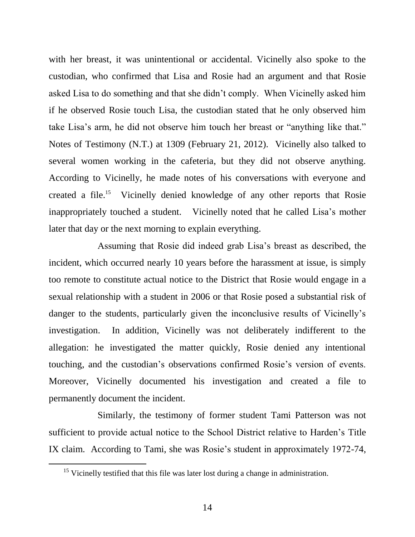with her breast, it was unintentional or accidental. Vicinelly also spoke to the custodian, who confirmed that Lisa and Rosie had an argument and that Rosie asked Lisa to do something and that she didn't comply. When Vicinelly asked him if he observed Rosie touch Lisa, the custodian stated that he only observed him take Lisa's arm, he did not observe him touch her breast or "anything like that." Notes of Testimony (N.T.) at 1309 (February 21, 2012). Vicinelly also talked to several women working in the cafeteria, but they did not observe anything. According to Vicinelly, he made notes of his conversations with everyone and created a file.<sup>15</sup> Vicinelly denied knowledge of any other reports that Rosie inappropriately touched a student. Vicinelly noted that he called Lisa's mother later that day or the next morning to explain everything.

Assuming that Rosie did indeed grab Lisa's breast as described, the incident, which occurred nearly 10 years before the harassment at issue, is simply too remote to constitute actual notice to the District that Rosie would engage in a sexual relationship with a student in 2006 or that Rosie posed a substantial risk of danger to the students, particularly given the inconclusive results of Vicinelly's investigation. In addition, Vicinelly was not deliberately indifferent to the allegation: he investigated the matter quickly, Rosie denied any intentional touching, and the custodian's observations confirmed Rosie's version of events. Moreover, Vicinelly documented his investigation and created a file to permanently document the incident.

Similarly, the testimony of former student Tami Patterson was not sufficient to provide actual notice to the School District relative to Harden's Title IX claim. According to Tami, she was Rosie's student in approximately 1972-74,

<sup>&</sup>lt;sup>15</sup> Vicinelly testified that this file was later lost during a change in administration.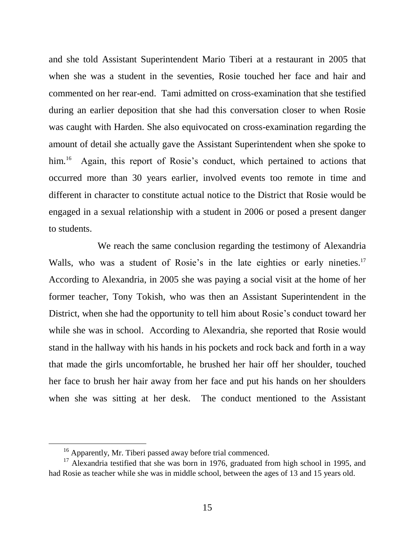and she told Assistant Superintendent Mario Tiberi at a restaurant in 2005 that when she was a student in the seventies, Rosie touched her face and hair and commented on her rear-end. Tami admitted on cross-examination that she testified during an earlier deposition that she had this conversation closer to when Rosie was caught with Harden. She also equivocated on cross-examination regarding the amount of detail she actually gave the Assistant Superintendent when she spoke to  $him.<sup>16</sup>$  Again, this report of Rosie's conduct, which pertained to actions that occurred more than 30 years earlier, involved events too remote in time and different in character to constitute actual notice to the District that Rosie would be engaged in a sexual relationship with a student in 2006 or posed a present danger to students.

We reach the same conclusion regarding the testimony of Alexandria Walls, who was a student of Rosie's in the late eighties or early nineties.<sup>17</sup> According to Alexandria, in 2005 she was paying a social visit at the home of her former teacher, Tony Tokish, who was then an Assistant Superintendent in the District, when she had the opportunity to tell him about Rosie's conduct toward her while she was in school. According to Alexandria, she reported that Rosie would stand in the hallway with his hands in his pockets and rock back and forth in a way that made the girls uncomfortable, he brushed her hair off her shoulder, touched her face to brush her hair away from her face and put his hands on her shoulders when she was sitting at her desk. The conduct mentioned to the Assistant

<sup>&</sup>lt;sup>16</sup> Apparently, Mr. Tiberi passed away before trial commenced.

 $17$  Alexandria testified that she was born in 1976, graduated from high school in 1995, and had Rosie as teacher while she was in middle school, between the ages of 13 and 15 years old.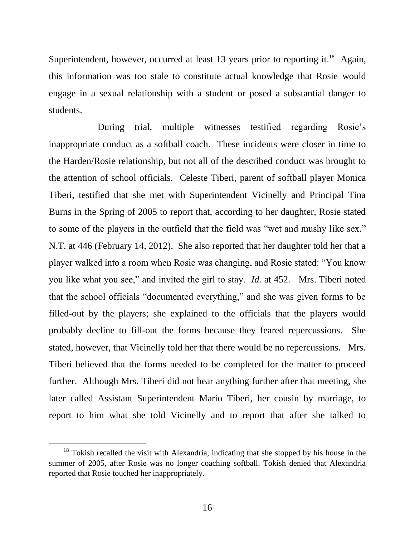Superintendent, however, occurred at least 13 years prior to reporting it.<sup>18</sup> Again, this information was too stale to constitute actual knowledge that Rosie would engage in a sexual relationship with a student or posed a substantial danger to students.

During trial, multiple witnesses testified regarding Rosie's inappropriate conduct as a softball coach. These incidents were closer in time to the Harden/Rosie relationship, but not all of the described conduct was brought to the attention of school officials. Celeste Tiberi, parent of softball player Monica Tiberi, testified that she met with Superintendent Vicinelly and Principal Tina Burns in the Spring of 2005 to report that, according to her daughter, Rosie stated to some of the players in the outfield that the field was "wet and mushy like sex." N.T. at 446 (February 14, 2012). She also reported that her daughter told her that a player walked into a room when Rosie was changing, and Rosie stated: "You know you like what you see," and invited the girl to stay. *Id.* at 452. Mrs. Tiberi noted that the school officials "documented everything," and she was given forms to be filled-out by the players; she explained to the officials that the players would probably decline to fill-out the forms because they feared repercussions. She stated, however, that Vicinelly told her that there would be no repercussions. Mrs. Tiberi believed that the forms needed to be completed for the matter to proceed further. Although Mrs. Tiberi did not hear anything further after that meeting, she later called Assistant Superintendent Mario Tiberi, her cousin by marriage, to report to him what she told Vicinelly and to report that after she talked to

 $18$  Tokish recalled the visit with Alexandria, indicating that she stopped by his house in the summer of 2005, after Rosie was no longer coaching softball. Tokish denied that Alexandria reported that Rosie touched her inappropriately.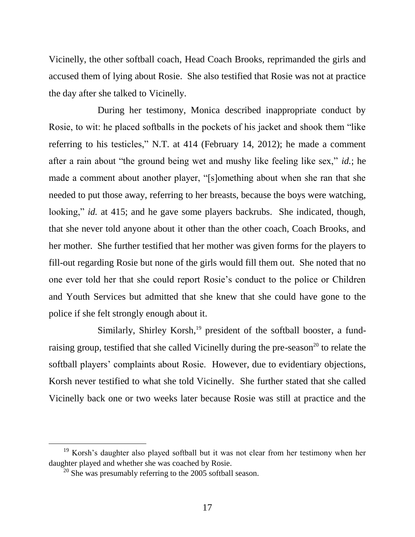Vicinelly, the other softball coach, Head Coach Brooks, reprimanded the girls and accused them of lying about Rosie. She also testified that Rosie was not at practice the day after she talked to Vicinelly.

During her testimony, Monica described inappropriate conduct by Rosie, to wit: he placed softballs in the pockets of his jacket and shook them "like referring to his testicles," N.T. at 414 (February 14, 2012); he made a comment after a rain about "the ground being wet and mushy like feeling like sex," *id.*; he made a comment about another player, "[s]omething about when she ran that she needed to put those away, referring to her breasts, because the boys were watching, looking," *id.* at 415; and he gave some players backrubs. She indicated, though, that she never told anyone about it other than the other coach, Coach Brooks, and her mother. She further testified that her mother was given forms for the players to fill-out regarding Rosie but none of the girls would fill them out. She noted that no one ever told her that she could report Rosie's conduct to the police or Children and Youth Services but admitted that she knew that she could have gone to the police if she felt strongly enough about it.

Similarly, Shirley Korsh, $^{19}$  president of the softball booster, a fundraising group, testified that she called Vicinelly during the pre-season<sup>20</sup> to relate the softball players' complaints about Rosie. However, due to evidentiary objections, Korsh never testified to what she told Vicinelly. She further stated that she called Vicinelly back one or two weeks later because Rosie was still at practice and the

<sup>&</sup>lt;sup>19</sup> Korsh's daughter also played softball but it was not clear from her testimony when her daughter played and whether she was coached by Rosie.

 $20$  She was presumably referring to the 2005 softball season.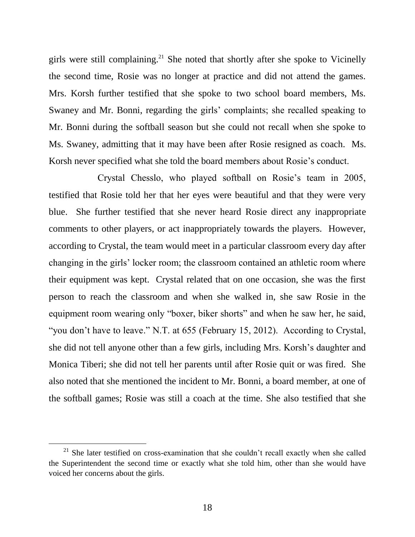girls were still complaining.<sup>21</sup> She noted that shortly after she spoke to Vicinelly the second time, Rosie was no longer at practice and did not attend the games. Mrs. Korsh further testified that she spoke to two school board members, Ms. Swaney and Mr. Bonni, regarding the girls' complaints; she recalled speaking to Mr. Bonni during the softball season but she could not recall when she spoke to Ms. Swaney, admitting that it may have been after Rosie resigned as coach. Ms. Korsh never specified what she told the board members about Rosie's conduct.

Crystal Chesslo, who played softball on Rosie's team in 2005, testified that Rosie told her that her eyes were beautiful and that they were very blue. She further testified that she never heard Rosie direct any inappropriate comments to other players, or act inappropriately towards the players. However, according to Crystal, the team would meet in a particular classroom every day after changing in the girls' locker room; the classroom contained an athletic room where their equipment was kept. Crystal related that on one occasion, she was the first person to reach the classroom and when she walked in, she saw Rosie in the equipment room wearing only "boxer, biker shorts" and when he saw her, he said, "you don't have to leave." N.T. at 655 (February 15, 2012). According to Crystal, she did not tell anyone other than a few girls, including Mrs. Korsh's daughter and Monica Tiberi; she did not tell her parents until after Rosie quit or was fired. She also noted that she mentioned the incident to Mr. Bonni, a board member, at one of the softball games; Rosie was still a coach at the time. She also testified that she

 $21$  She later testified on cross-examination that she couldn't recall exactly when she called the Superintendent the second time or exactly what she told him, other than she would have voiced her concerns about the girls.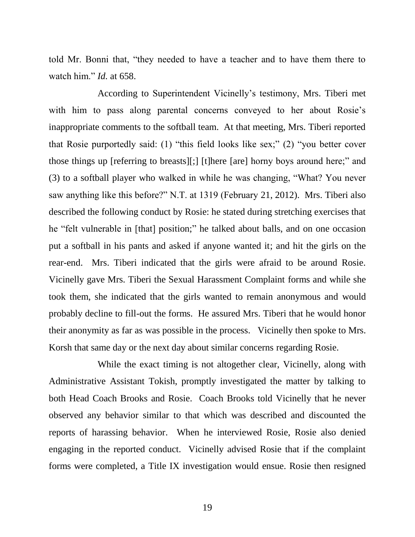told Mr. Bonni that, "they needed to have a teacher and to have them there to watch him." *Id.* at 658.

According to Superintendent Vicinelly's testimony, Mrs. Tiberi met with him to pass along parental concerns conveyed to her about Rosie's inappropriate comments to the softball team. At that meeting, Mrs. Tiberi reported that Rosie purportedly said: (1) "this field looks like sex;" (2) "you better cover those things up [referring to breasts][;] [t]here [are] horny boys around here;" and (3) to a softball player who walked in while he was changing, "What? You never saw anything like this before?" N.T. at 1319 (February 21, 2012). Mrs. Tiberi also described the following conduct by Rosie: he stated during stretching exercises that he "felt vulnerable in [that] position;" he talked about balls, and on one occasion put a softball in his pants and asked if anyone wanted it; and hit the girls on the rear-end. Mrs. Tiberi indicated that the girls were afraid to be around Rosie. Vicinelly gave Mrs. Tiberi the Sexual Harassment Complaint forms and while she took them, she indicated that the girls wanted to remain anonymous and would probably decline to fill-out the forms. He assured Mrs. Tiberi that he would honor their anonymity as far as was possible in the process. Vicinelly then spoke to Mrs. Korsh that same day or the next day about similar concerns regarding Rosie.

While the exact timing is not altogether clear, Vicinelly, along with Administrative Assistant Tokish, promptly investigated the matter by talking to both Head Coach Brooks and Rosie. Coach Brooks told Vicinelly that he never observed any behavior similar to that which was described and discounted the reports of harassing behavior. When he interviewed Rosie, Rosie also denied engaging in the reported conduct. Vicinelly advised Rosie that if the complaint forms were completed, a Title IX investigation would ensue. Rosie then resigned

19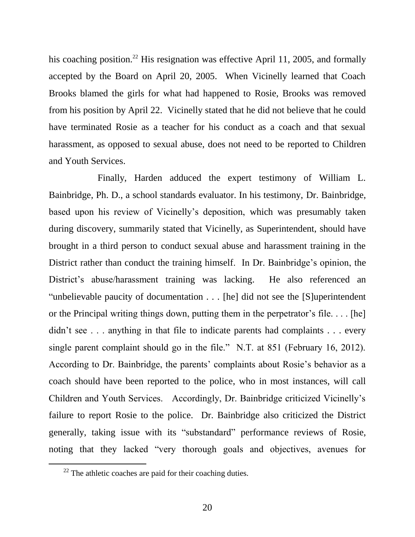his coaching position.<sup>22</sup> His resignation was effective April 11, 2005, and formally accepted by the Board on April 20, 2005. When Vicinelly learned that Coach Brooks blamed the girls for what had happened to Rosie, Brooks was removed from his position by April 22. Vicinelly stated that he did not believe that he could have terminated Rosie as a teacher for his conduct as a coach and that sexual harassment, as opposed to sexual abuse, does not need to be reported to Children and Youth Services.

Finally, Harden adduced the expert testimony of William L. Bainbridge, Ph. D., a school standards evaluator. In his testimony, Dr. Bainbridge, based upon his review of Vicinelly's deposition, which was presumably taken during discovery, summarily stated that Vicinelly, as Superintendent, should have brought in a third person to conduct sexual abuse and harassment training in the District rather than conduct the training himself. In Dr. Bainbridge's opinion, the District's abuse/harassment training was lacking. He also referenced an "unbelievable paucity of documentation . . . [he] did not see the [S]uperintendent or the Principal writing things down, putting them in the perpetrator's file. . . . [he] didn't see . . . anything in that file to indicate parents had complaints . . . every single parent complaint should go in the file." N.T. at 851 (February 16, 2012). According to Dr. Bainbridge, the parents' complaints about Rosie's behavior as a coach should have been reported to the police, who in most instances, will call Children and Youth Services. Accordingly, Dr. Bainbridge criticized Vicinelly's failure to report Rosie to the police. Dr. Bainbridge also criticized the District generally, taking issue with its "substandard" performance reviews of Rosie, noting that they lacked "very thorough goals and objectives, avenues for

 $22$  The athletic coaches are paid for their coaching duties.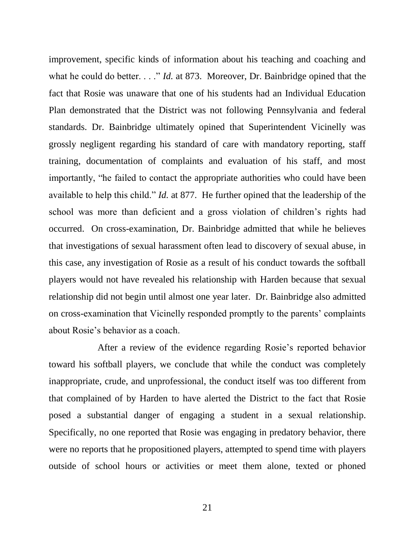improvement, specific kinds of information about his teaching and coaching and what he could do better. . . ." *Id.* at 873. Moreover, Dr. Bainbridge opined that the fact that Rosie was unaware that one of his students had an Individual Education Plan demonstrated that the District was not following Pennsylvania and federal standards. Dr. Bainbridge ultimately opined that Superintendent Vicinelly was grossly negligent regarding his standard of care with mandatory reporting, staff training, documentation of complaints and evaluation of his staff, and most importantly, "he failed to contact the appropriate authorities who could have been available to help this child." *Id.* at 877. He further opined that the leadership of the school was more than deficient and a gross violation of children's rights had occurred. On cross-examination, Dr. Bainbridge admitted that while he believes that investigations of sexual harassment often lead to discovery of sexual abuse, in this case, any investigation of Rosie as a result of his conduct towards the softball players would not have revealed his relationship with Harden because that sexual relationship did not begin until almost one year later. Dr. Bainbridge also admitted on cross-examination that Vicinelly responded promptly to the parents' complaints about Rosie's behavior as a coach.

After a review of the evidence regarding Rosie's reported behavior toward his softball players, we conclude that while the conduct was completely inappropriate, crude, and unprofessional, the conduct itself was too different from that complained of by Harden to have alerted the District to the fact that Rosie posed a substantial danger of engaging a student in a sexual relationship. Specifically, no one reported that Rosie was engaging in predatory behavior, there were no reports that he propositioned players, attempted to spend time with players outside of school hours or activities or meet them alone, texted or phoned

21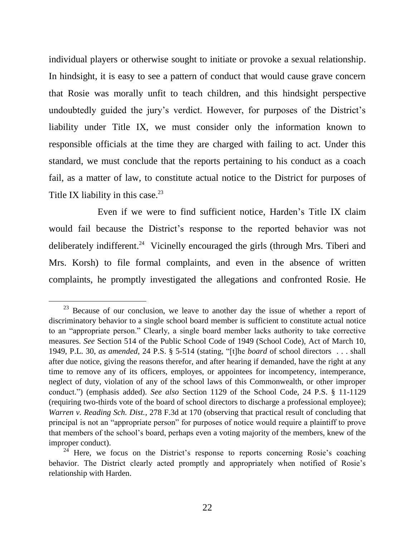individual players or otherwise sought to initiate or provoke a sexual relationship. In hindsight, it is easy to see a pattern of conduct that would cause grave concern that Rosie was morally unfit to teach children, and this hindsight perspective undoubtedly guided the jury's verdict. However, for purposes of the District's liability under Title IX, we must consider only the information known to responsible officials at the time they are charged with failing to act. Under this standard, we must conclude that the reports pertaining to his conduct as a coach fail, as a matter of law, to constitute actual notice to the District for purposes of Title IX liability in this case. $23$ 

Even if we were to find sufficient notice, Harden's Title IX claim would fail because the District's response to the reported behavior was not deliberately indifferent.<sup>24</sup> Vicinelly encouraged the girls (through Mrs. Tiberi and Mrs. Korsh) to file formal complaints, and even in the absence of written complaints, he promptly investigated the allegations and confronted Rosie. He

 $23$  Because of our conclusion, we leave to another day the issue of whether a report of discriminatory behavior to a single school board member is sufficient to constitute actual notice to an "appropriate person." Clearly, a single board member lacks authority to take corrective measures. *See* Section 514 of the Public School Code of 1949 (School Code), Act of March 10, 1949, P.L. 30, *as amended*, 24 P.S. § 5-514 (stating, "[t]he *board* of school directors . . . shall after due notice, giving the reasons therefor, and after hearing if demanded, have the right at any time to remove any of its officers, employes, or appointees for incompetency, intemperance, neglect of duty, violation of any of the school laws of this Commonwealth, or other improper conduct.") (emphasis added). *See also* Section 1129 of the School Code, 24 P.S. § 11-1129 (requiring two-thirds vote of the board of school directors to discharge a professional employee); *Warren v. Reading Sch. Dist.*, 278 F.3d at 170 (observing that practical result of concluding that principal is not an "appropriate person" for purposes of notice would require a plaintiff to prove that members of the school's board, perhaps even a voting majority of the members, knew of the improper conduct).

<sup>&</sup>lt;sup>24</sup> Here, we focus on the District's response to reports concerning Rosie's coaching behavior. The District clearly acted promptly and appropriately when notified of Rosie's relationship with Harden.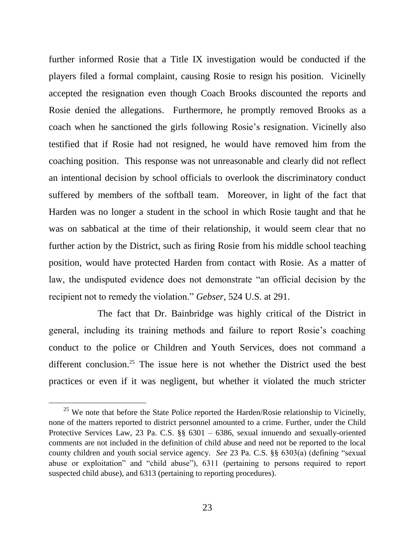further informed Rosie that a Title IX investigation would be conducted if the players filed a formal complaint, causing Rosie to resign his position. Vicinelly accepted the resignation even though Coach Brooks discounted the reports and Rosie denied the allegations. Furthermore, he promptly removed Brooks as a coach when he sanctioned the girls following Rosie's resignation. Vicinelly also testified that if Rosie had not resigned, he would have removed him from the coaching position. This response was not unreasonable and clearly did not reflect an intentional decision by school officials to overlook the discriminatory conduct suffered by members of the softball team. Moreover, in light of the fact that Harden was no longer a student in the school in which Rosie taught and that he was on sabbatical at the time of their relationship, it would seem clear that no further action by the District, such as firing Rosie from his middle school teaching position, would have protected Harden from contact with Rosie. As a matter of law, the undisputed evidence does not demonstrate "an official decision by the recipient not to remedy the violation." *Gebser*, 524 U.S. at 291.

The fact that Dr. Bainbridge was highly critical of the District in general, including its training methods and failure to report Rosie's coaching conduct to the police or Children and Youth Services, does not command a different conclusion.<sup>25</sup> The issue here is not whether the District used the best practices or even if it was negligent, but whether it violated the much stricter

<sup>&</sup>lt;sup>25</sup> We note that before the State Police reported the Harden/Rosie relationship to Vicinelly, none of the matters reported to district personnel amounted to a crime. Further, under the Child Protective Services Law, 23 Pa. C.S. §§ 6301 – 6386, sexual innuendo and sexually-oriented comments are not included in the definition of child abuse and need not be reported to the local county children and youth social service agency. *See* 23 Pa. C.S. §§ 6303(a) (defining "sexual abuse or exploitation" and "child abuse"), 6311 (pertaining to persons required to report suspected child abuse), and 6313 (pertaining to reporting procedures).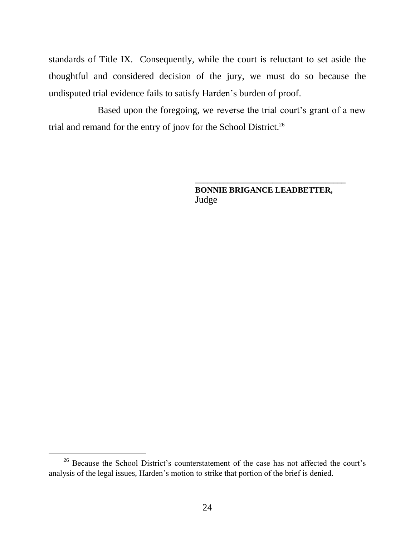standards of Title IX. Consequently, while the court is reluctant to set aside the thoughtful and considered decision of the jury, we must do so because the undisputed trial evidence fails to satisfy Harden's burden of proof.

Based upon the foregoing, we reverse the trial court's grant of a new trial and remand for the entry of jnov for the School District.<sup>26</sup>

> **BONNIE BRIGANCE LEADBETTER,** Judge

**\_\_\_\_\_\_\_\_\_\_\_\_\_\_\_\_\_\_\_\_\_\_\_\_\_\_\_\_\_\_\_\_\_\_\_\_\_**

<sup>&</sup>lt;sup>26</sup> Because the School District's counterstatement of the case has not affected the court's analysis of the legal issues, Harden's motion to strike that portion of the brief is denied.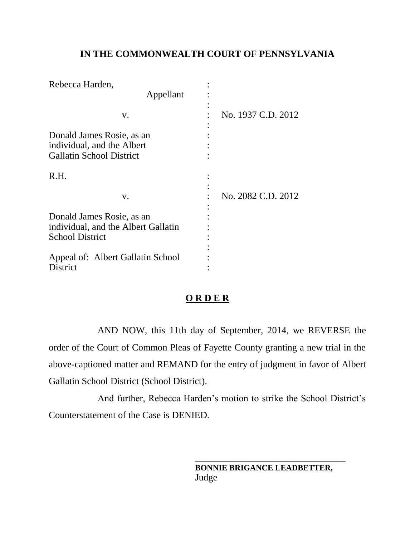# **IN THE COMMONWEALTH COURT OF PENNSYLVANIA**

| Rebecca Harden,                     |                    |
|-------------------------------------|--------------------|
| Appellant                           |                    |
|                                     |                    |
| v.                                  | No. 1937 C.D. 2012 |
|                                     |                    |
| Donald James Rosie, as an           |                    |
| individual, and the Albert          |                    |
| <b>Gallatin School District</b>     |                    |
| R.H.                                |                    |
|                                     |                    |
| v.                                  | No. 2082 C.D. 2012 |
|                                     |                    |
| Donald James Rosie, as an           |                    |
| individual, and the Albert Gallatin |                    |
| <b>School District</b>              |                    |
|                                     |                    |
| Appeal of: Albert Gallatin School   |                    |
| District                            |                    |

# **O R D E R**

AND NOW, this 11th day of September, 2014, we REVERSE the order of the Court of Common Pleas of Fayette County granting a new trial in the above-captioned matter and REMAND for the entry of judgment in favor of Albert Gallatin School District (School District).

And further, Rebecca Harden's motion to strike the School District's Counterstatement of the Case is DENIED.

> **BONNIE BRIGANCE LEADBETTER,** Judge

**\_\_\_\_\_\_\_\_\_\_\_\_\_\_\_\_\_\_\_\_\_\_\_\_\_\_\_\_\_\_\_\_\_\_\_\_\_**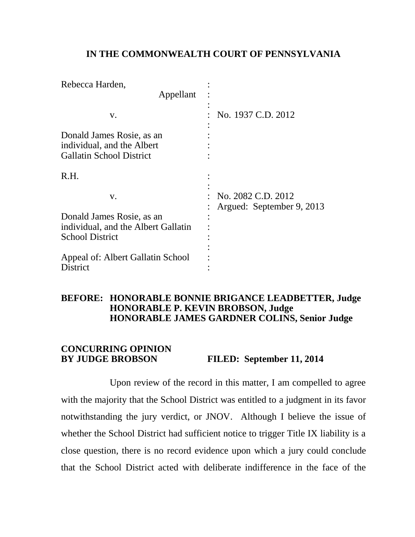#### **IN THE COMMONWEALTH COURT OF PENNSYLVANIA**

| Rebecca Harden,                                                                            |                                                 |
|--------------------------------------------------------------------------------------------|-------------------------------------------------|
| Appellant                                                                                  |                                                 |
| V.                                                                                         | No. 1937 C.D. 2012                              |
| Donald James Rosie, as an<br>individual, and the Albert<br><b>Gallatin School District</b> |                                                 |
| R.H.                                                                                       |                                                 |
| V.                                                                                         | No. 2082 C.D. 2012<br>Argued: September 9, 2013 |
| Donald James Rosie, as an                                                                  |                                                 |
| individual, and the Albert Gallatin                                                        |                                                 |
| <b>School District</b>                                                                     |                                                 |
|                                                                                            |                                                 |
| Appeal of: Albert Gallatin School                                                          |                                                 |
| District                                                                                   |                                                 |

#### **BEFORE: HONORABLE BONNIE BRIGANCE LEADBETTER, Judge HONORABLE P. KEVIN BROBSON, Judge HONORABLE JAMES GARDNER COLINS, Senior Judge**

## **CONCURRING OPINION BY JUDGE BROBSON FILED: September 11, 2014**

Upon review of the record in this matter, I am compelled to agree with the majority that the School District was entitled to a judgment in its favor notwithstanding the jury verdict, or JNOV. Although I believe the issue of whether the School District had sufficient notice to trigger Title IX liability is a close question, there is no record evidence upon which a jury could conclude that the School District acted with deliberate indifference in the face of the